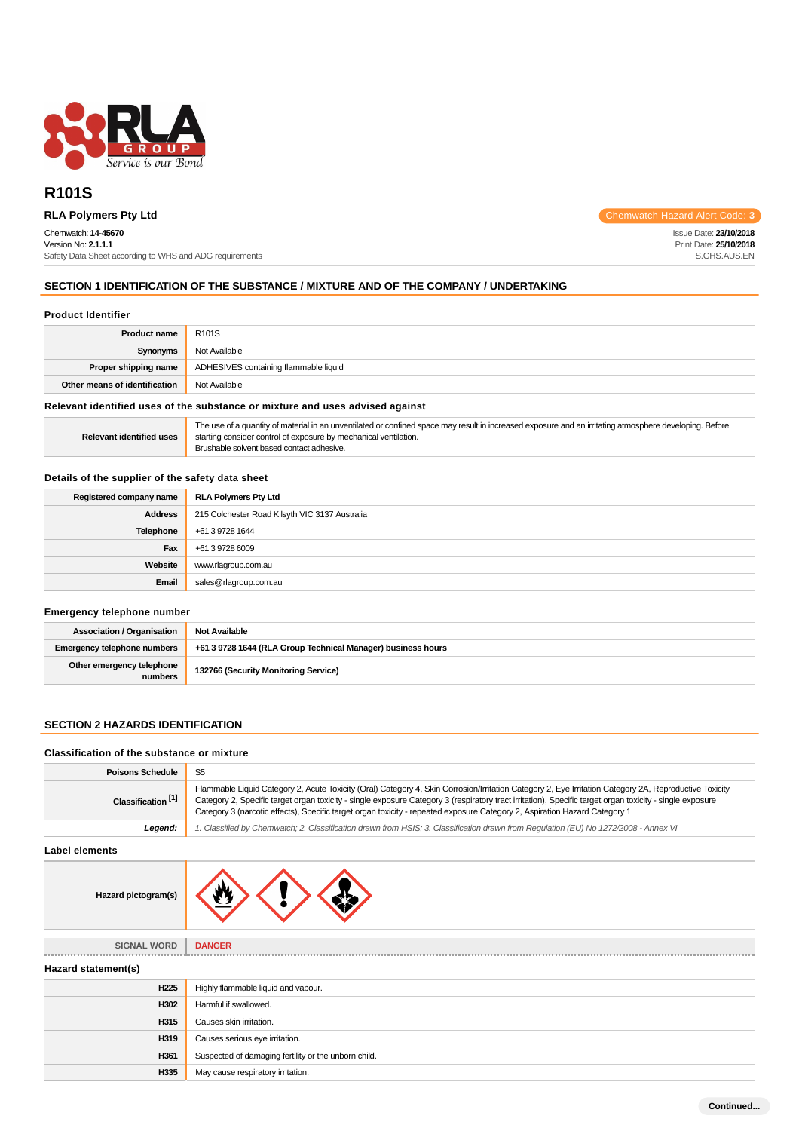

# **R101S**

# Chemwatch: **14-45670**

Version No: **2.1.1.1** Safety Data Sheet according to WHS and ADG requirements

**RLA Polymers Pty Ltd** Chemwatch Hazard Alert Code: 3

Issue Date: **23/10/2018** Print Date: **25/10/2018** S.GHS.AUS.EN

# **SECTION 1 IDENTIFICATION OF THE SUBSTANCE / MIXTURE AND OF THE COMPANY / UNDERTAKING**

#### **Product Identifier**

| <b>Product name</b>           | R101S                                 |
|-------------------------------|---------------------------------------|
| Synonyms                      | Not Available                         |
| Proper shipping name          | ADHESIVES containing flammable liquid |
| Other means of identification | Not Available                         |

### **Relevant identified uses of the substance or mixture and uses advised against**

# **Details of the supplier of the safety data sheet**

| Registered company name | <b>RLA Polymers Pty Ltd</b>                    |
|-------------------------|------------------------------------------------|
| <b>Address</b>          | 215 Colchester Road Kilsyth VIC 3137 Australia |
| Telephone               | +61 3 9728 1644                                |
| Fax                     | +61 3 9728 6009                                |
| Website                 | www.rlagroup.com.au                            |
| Email                   | sales@rlagroup.com.au                          |

# **Emergency telephone number**

| <b>Association / Organisation</b>    | Not Available                                                |
|--------------------------------------|--------------------------------------------------------------|
| Emergency telephone numbers          | +61 3 9728 1644 (RLA Group Technical Manager) business hours |
| Other emergency telephone<br>numbers | 132766 (Security Monitoring Service)                         |

## **SECTION 2 HAZARDS IDENTIFICATION**

#### **Classification of the substance or mixture**

| <b>Poisons Schedule</b>       | S <sub>5</sub>                                                                                                                                                                                                                                                                                                                                                                                                                                   |  |  |  |  |
|-------------------------------|--------------------------------------------------------------------------------------------------------------------------------------------------------------------------------------------------------------------------------------------------------------------------------------------------------------------------------------------------------------------------------------------------------------------------------------------------|--|--|--|--|
| Classification <sup>[1]</sup> | Flammable Liquid Category 2, Acute Toxicity (Oral) Category 4, Skin Corrosion/Irritation Category 2, Eye Irritation Category 2A, Reproductive Toxicity<br>Category 2, Specific target organ toxicity - single exposure Category 3 (respiratory tract irritation), Specific target organ toxicity - single exposure<br>Category 3 (narcotic effects), Specific target organ toxicity - repeated exposure Category 2, Aspiration Hazard Category 1 |  |  |  |  |
| Legend:                       | 1. Classified by Chemwatch; 2. Classification drawn from HSIS; 3. Classification drawn from Regulation (EU) No 1272/2008 - Annex VI                                                                                                                                                                                                                                                                                                              |  |  |  |  |
| <b>Label elements</b>         |                                                                                                                                                                                                                                                                                                                                                                                                                                                  |  |  |  |  |
| Hazard pictogram(s)           |                                                                                                                                                                                                                                                                                                                                                                                                                                                  |  |  |  |  |
| SIGNAL WORD                   | <b>DANGER</b>                                                                                                                                                                                                                                                                                                                                                                                                                                    |  |  |  |  |
| Hazard statement(s)           |                                                                                                                                                                                                                                                                                                                                                                                                                                                  |  |  |  |  |
| H <sub>225</sub>              | Highly flammable liquid and vapour.                                                                                                                                                                                                                                                                                                                                                                                                              |  |  |  |  |
| H302                          | Harmful if swallowed.                                                                                                                                                                                                                                                                                                                                                                                                                            |  |  |  |  |
| H315                          | Causes skin irritation.                                                                                                                                                                                                                                                                                                                                                                                                                          |  |  |  |  |
| H319                          | Causes serious eye irritation.                                                                                                                                                                                                                                                                                                                                                                                                                   |  |  |  |  |
| H361                          | Suspected of damaging fertility or the unborn child.                                                                                                                                                                                                                                                                                                                                                                                             |  |  |  |  |
| H335                          | May cause respiratory irritation.                                                                                                                                                                                                                                                                                                                                                                                                                |  |  |  |  |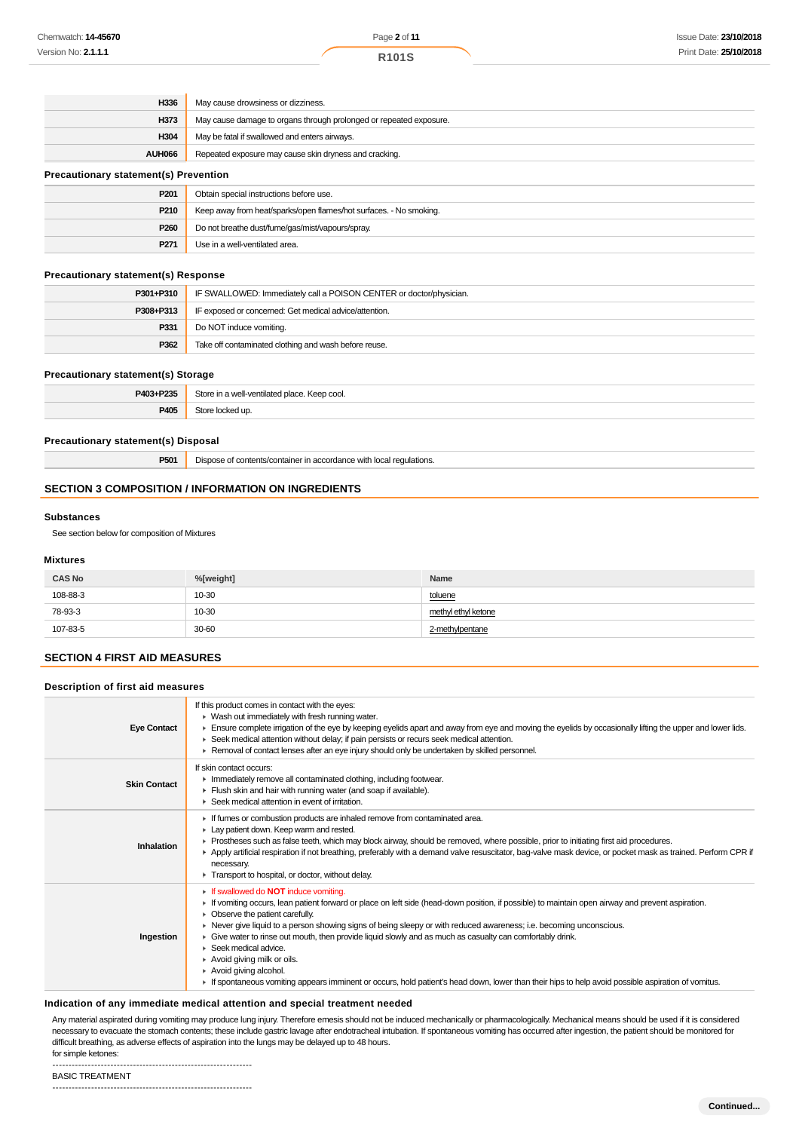| H336                                         | May cause drowsiness or dizziness.                                 |  |
|----------------------------------------------|--------------------------------------------------------------------|--|
| H373                                         | May cause damage to organs through prolonged or repeated exposure. |  |
| H304                                         | May be fatal if swallowed and enters airways.                      |  |
| <b>AUH066</b>                                | Repeated exposure may cause skin dryness and cracking.             |  |
| <b>Precautionary statement(s) Prevention</b> |                                                                    |  |
| ----                                         | ---                                                                |  |

| P <sub>201</sub> | Obtain special instructions before use.                            |
|------------------|--------------------------------------------------------------------|
| P210             | Keep away from heat/sparks/open flames/hot surfaces. - No smoking. |
| P260             | Do not breathe dust/fume/gas/mist/vapours/spray.                   |
| P271             | Use in a well-ventilated area.                                     |

#### **Precautionary statement(s) Response**

| P301+P310 | IF SWALLOWED: Immediately call a POISON CENTER or doctor/physician. |  |  |
|-----------|---------------------------------------------------------------------|--|--|
| P308+P313 | IF exposed or concerned: Get medical advice/attention.              |  |  |
| P331      | Do NOT induce vomiting.                                             |  |  |
| P362      | Take off contaminated clothing and wash before reuse.               |  |  |

#### **Precautionary statement(s) Storage**

| D402 - D225<br>$\sim$      | $100+$<br>Keep cool.<br>max<br>ה הור |
|----------------------------|--------------------------------------|
| <b>P405</b><br><b>- v.</b> |                                      |

#### **Precautionary statement(s) Disposal**

**P501** Dispose of contents/container in accordance with local regulations.

# **SECTION 3 COMPOSITION / INFORMATION ON INGREDIENTS**

#### **Substances**

See section below for composition of Mixtures

#### **Mixtures**

| <b>CAS No</b> | %[weight] | Name                |
|---------------|-----------|---------------------|
| 108-88-3      | 10-30     | toluene             |
| 78-93-3       | 10-30     | methyl ethyl ketone |
| 107-83-5      | 30-60     | 2-methylpentane     |

# **SECTION 4 FIRST AID MEASURES**

## **Description of first aid measures**

| <b>Eye Contact</b>  | If this product comes in contact with the eyes:<br>$\blacktriangleright$ Wash out immediately with fresh running water.<br>Ensure complete irrigation of the eye by keeping eyelids apart and away from eye and moving the eyelids by occasionally lifting the upper and lower lids.<br>▶ Seek medical attention without delay; if pain persists or recurs seek medical attention.<br>Removal of contact lenses after an eye injury should only be undertaken by skilled personnel.                                                                                                                                                                                                                                         |
|---------------------|-----------------------------------------------------------------------------------------------------------------------------------------------------------------------------------------------------------------------------------------------------------------------------------------------------------------------------------------------------------------------------------------------------------------------------------------------------------------------------------------------------------------------------------------------------------------------------------------------------------------------------------------------------------------------------------------------------------------------------|
| <b>Skin Contact</b> | If skin contact occurs:<br>Inmediately remove all contaminated clothing, including footwear.<br>Flush skin and hair with running water (and soap if available).<br>▶ Seek medical attention in event of irritation.                                                                                                                                                                                                                                                                                                                                                                                                                                                                                                         |
| Inhalation          | If fumes or combustion products are inhaled remove from contaminated area.<br>Lay patient down. Keep warm and rested.<br>► Prostheses such as false teeth, which may block airway, should be removed, where possible, prior to initiating first aid procedures.<br>▶ Apply artificial respiration if not breathing, preferably with a demand valve resuscitator, bag-valve mask device, or pocket mask as trained. Perform CPR if<br>necessary.<br>Transport to hospital, or doctor, without delay.                                                                                                                                                                                                                         |
| Ingestion           | If swallowed do NOT induce vomiting.<br>If vomiting occurs, lean patient forward or place on left side (head-down position, if possible) to maintain open airway and prevent aspiration.<br>• Observe the patient carefully.<br>▶ Never give liquid to a person showing signs of being sleepy or with reduced awareness; i.e. becoming unconscious.<br>► Give water to rinse out mouth, then provide liquid slowly and as much as casualty can comfortably drink.<br>$\blacktriangleright$ Seek medical advice.<br>Avoid giving milk or oils.<br>Avoid giving alcohol.<br>If spontaneous vomiting appears imminent or occurs, hold patient's head down, lower than their hips to help avoid possible aspiration of vomitus. |

## **Indication of any immediate medical attention and special treatment needed**

Any material aspirated during vomiting may produce lung injury. Therefore emesis should not be induced mechanically or pharmacologically. Mechanical means should be used if it is considered necessary to evacuate the stomach contents; these include gastric lavage after endotracheal intubation. If spontaneous vomiting has occurred after ingestion, the patient should be monitored for difficult breathing, as adverse effects of aspiration into the lungs may be delayed up to 48 hours. for simple ketones:

--------------------------------------------------------------

BASIC TREATMENT --------------------------------------------------------------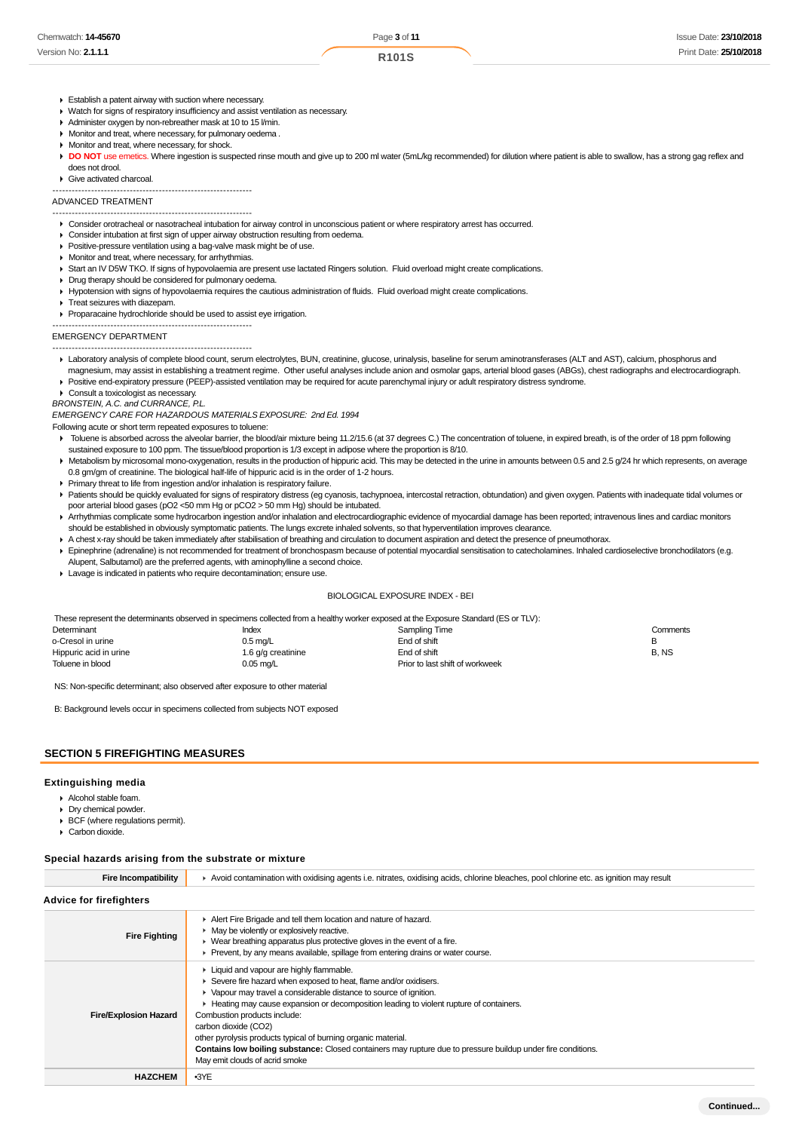| Chemwatch: <b>14-45670</b> | Page 3 of 11       | Issue Date: 23/10/2018 |
|----------------------------|--------------------|------------------------|
| Version No: <b>2.1.1.1</b> | R <sub>101</sub> S | Print Date: 25/10/2018 |

- Establish a patent airway with suction where necessary.
- Watch for signs of respiratory insufficiency and assist ventilation as necessary.
- Administer oxygen by non-rebreather mask at 10 to 15 l/min.
- Monitor and treat, where necessary, for pulmonary oedema .
- Monitor and treat, where necessary, for shock.
- DO NOT use emetics. Where ingestion is suspected rinse mouth and give up to 200 ml water (5mL/kg recommended) for dilution where patient is able to swallow, has a strong gag reflex and does not drool.
- Give activated charcoal.

--------------------------------------------------------------

## ADVANCED TREATMENT

- -------------------------------------------------------------- Consider orotracheal or nasotracheal intubation for airway control in unconscious patient or where respiratory arrest has occurred.
- Consider intubation at first sign of upper airway obstruction resulting from oedema.
- **Positive-pressure ventilation using a bag-valve mask might be of use.**
- **Monitor and treat, where necessary, for arrhythmias.**
- Start an IV D5W TKO. If signs of hypovolaemia are present use lactated Ringers solution. Fluid overload might create complications.
- Drug therapy should be considered for pulmonary oedema.
- Hypotension with signs of hypovolaemia requires the cautious administration of fluids. Fluid overload might create complications.
- Treat seizures with diazepam.
- Proparacaine hydrochloride should be used to assist eye irrigation.

#### -------------------------------------------------------------- EMERGENCY DEPARTMENT

--------------------------------------------------------------

- Laboratory analysis of complete blood count, serum electrolytes, BUN, creatinine, glucose, urinalysis, baseline for serum aminotransferases (ALT and AST), calcium, phosphorus and magnesium, may assist in establishing a treatment regime. Other useful analyses include anion and osmolar gaps, arterial blood gases (ABGs), chest radiographs and electrocardiograph.
- Positive end-expiratory pressure (PEEP)-assisted ventilation may be required for acute parenchymal injury or adult respiratory distress syndrome.
- Consult a toxicologist as necessary.

BRONSTEIN, A.C. and CURRANCE, P.L.

EMERGENCY CARE FOR HAZARDOUS MATERIALS EXPOSURE: 2nd Ed. 1994

Following acute or short term repeated exposures to toluene:

- Toluene is absorbed across the alveolar barrier, the blood/air mixture being 11.2/15.6 (at 37 degrees C.) The concentration of toluene, in expired breath, is of the order of 18 ppm following sustained exposure to 100 ppm. The tissue/blood proportion is 1/3 except in adipose where the proportion is 8/10.
- Metabolism by microsomal mono-oxygenation, results in the production of hippuric acid. This may be detected in the urine in amounts between 0.5 and 2.5 g/24 hr which represents, on average 0.8 gm/gm of creatinine. The biological half-life of hippuric acid is in the order of 1-2 hours.
- Primary threat to life from ingestion and/or inhalation is respiratory failure.
- Patients should be quickly evaluated for signs of respiratory distress (eg cyanosis, tachypnoea, intercostal retraction, obtundation) and given oxygen. Patients with inadequate tidal volumes or poor arterial blood gases (pO2 <50 mm Hg or pCO2 > 50 mm Hg) should be intubated.
- Arrhythmias complicate some hydrocarbon ingestion and/or inhalation and electrocardiographic evidence of myocardial damage has been reported; intravenous lines and cardiac monitors should be established in obviously symptomatic patients. The lungs excrete inhaled solvents, so that hyperventilation improves clearance.
- A chest x-ray should be taken immediately after stabilisation of breathing and circulation to document aspiration and detect the presence of pneumothorax.
- Epinephrine (adrenaline) is not recommended for treatment of bronchospasm because of potential myocardial sensitisation to catecholamines. Inhaled cardioselective bronchodilators (e.g. Alupent, Salbutamol) are the preferred agents, with aminophylline a second choice.
- Lavage is indicated in patients who require decontamination; ensure use.

#### BIOLOGICAL EXPOSURE INDEX - BEI

These represent the determinants observed in specimens collected from a healthy worker exposed at the Exposure Standard (ES or TLV):

| Determinant            | Index              | Sampling Time                   | Comments |
|------------------------|--------------------|---------------------------------|----------|
| o-Cresol in urine      | $0.5 \text{ mq/L}$ | End of shift                    |          |
| Hippuric acid in urine | 1.6 g/g creatinine | End of shift                    | B, NS    |
| Toluene in blood       | 0.05 mg/L          | Prior to last shift of workweek |          |

NS: Non-specific determinant; also observed after exposure to other material

B: Background levels occur in specimens collected from subjects NOT exposed

#### **SECTION 5 FIREFIGHTING MEASURES**

#### **Extinguishing media**

- Alcohol stable foam.
- Dry chemical powder.
- BCF (where regulations permit).
- Carbon dioxide.

#### **Special hazards arising from the substrate or mixture**

| <b>Fire Incompatibility</b>    | Avoid contamination with oxidising agents i.e. nitrates, oxidising acids, chlorine bleaches, pool chlorine etc. as ignition may result                                                                                                                                                                                                                                                                                                                                                                                                                     |
|--------------------------------|------------------------------------------------------------------------------------------------------------------------------------------------------------------------------------------------------------------------------------------------------------------------------------------------------------------------------------------------------------------------------------------------------------------------------------------------------------------------------------------------------------------------------------------------------------|
| <b>Advice for firefighters</b> |                                                                                                                                                                                                                                                                                                                                                                                                                                                                                                                                                            |
| <b>Fire Fighting</b>           | Alert Fire Brigade and tell them location and nature of hazard.<br>$\blacktriangleright$ May be violently or explosively reactive.<br>$\triangleright$ Wear breathing apparatus plus protective gloves in the event of a fire.<br>• Prevent, by any means available, spillage from entering drains or water course.                                                                                                                                                                                                                                        |
| <b>Fire/Explosion Hazard</b>   | • Liquid and vapour are highly flammable.<br>Severe fire hazard when exposed to heat, flame and/or oxidisers.<br>• Vapour may travel a considerable distance to source of ignition.<br>E Heating may cause expansion or decomposition leading to violent rupture of containers.<br>Combustion products include:<br>carbon dioxide (CO2)<br>other pyrolysis products typical of burning organic material.<br>Contains low boiling substance: Closed containers may rupture due to pressure buildup under fire conditions.<br>May emit clouds of acrid smoke |
| <b>HAZCHEM</b>                 | $-3YE$                                                                                                                                                                                                                                                                                                                                                                                                                                                                                                                                                     |
|                                |                                                                                                                                                                                                                                                                                                                                                                                                                                                                                                                                                            |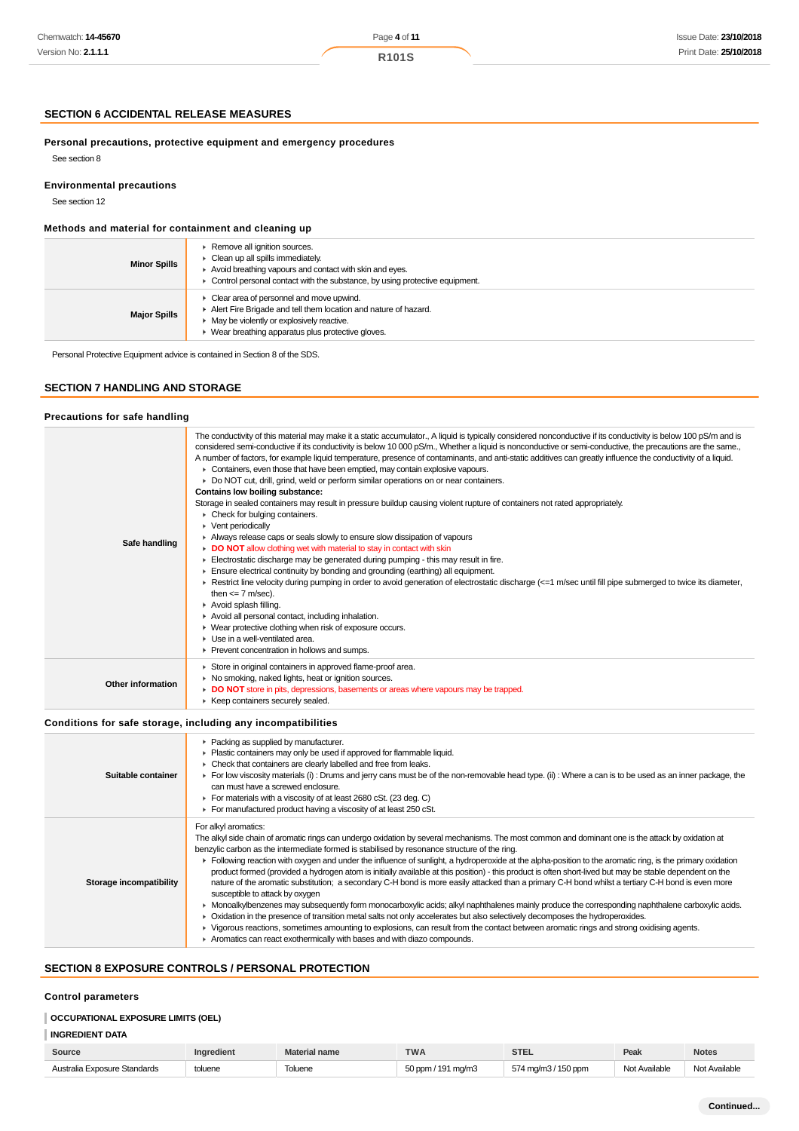## **R101S**

# **SECTION 6 ACCIDENTAL RELEASE MEASURES**

**Personal precautions, protective equipment and emergency procedures** See section 8

**Environmental precautions**

See section 12

# **Methods and material for containment and cleaning up**

| <b>Minor Spills</b> | Remove all ignition sources.<br>Clean up all spills immediately.<br>Avoid breathing vapours and contact with skin and eyes.<br>$\triangleright$ Control personal contact with the substance, by using protective equipment. |
|---------------------|-----------------------------------------------------------------------------------------------------------------------------------------------------------------------------------------------------------------------------|
| <b>Major Spills</b> | Clear area of personnel and move upwind.<br>Alert Fire Brigade and tell them location and nature of hazard.<br>May be violently or explosively reactive.<br>Wear breathing apparatus plus protective gloves.                |

Personal Protective Equipment advice is contained in Section 8 of the SDS.

# **SECTION 7 HANDLING AND STORAGE**

#### **Precautions for safe handling**

| Safe handling     | The conductivity of this material may make it a static accumulator., A liquid is typically considered nonconductive if its conductivity is below 100 pS/m and is<br>considered semi-conductive if its conductivity is below 10 000 pS/m., Whether a liquid is nonconductive or semi-conductive, the precautions are the same.,<br>A number of factors, for example liquid temperature, presence of contaminants, and anti-static additives can greatly influence the conductivity of a liquid.<br>• Containers, even those that have been emptied, may contain explosive vapours.<br>Do NOT cut, drill, grind, weld or perform similar operations on or near containers.<br><b>Contains low boiling substance:</b><br>Storage in sealed containers may result in pressure buildup causing violent rupture of containers not rated appropriately.<br>$\triangleright$ Check for bulging containers.<br>• Vent periodically<br>Always release caps or seals slowly to ensure slow dissipation of vapours<br>• DO NOT allow clothing wet with material to stay in contact with skin<br>Electrostatic discharge may be generated during pumping - this may result in fire.<br>$\blacktriangleright$ Ensure electrical continuity by bonding and grounding (earthing) all equipment.<br>F Restrict line velocity during pumping in order to avoid generation of electrostatic discharge (<=1 m/sec until fill pipe submerged to twice its diameter,<br>then $\leq$ 7 m/sec).<br>Avoid splash filling.<br>Avoid all personal contact, including inhalation.<br>• Wear protective clothing when risk of exposure occurs.<br>$\blacktriangleright$ Use in a well-ventilated area.<br>▶ Prevent concentration in hollows and sumps. |
|-------------------|----------------------------------------------------------------------------------------------------------------------------------------------------------------------------------------------------------------------------------------------------------------------------------------------------------------------------------------------------------------------------------------------------------------------------------------------------------------------------------------------------------------------------------------------------------------------------------------------------------------------------------------------------------------------------------------------------------------------------------------------------------------------------------------------------------------------------------------------------------------------------------------------------------------------------------------------------------------------------------------------------------------------------------------------------------------------------------------------------------------------------------------------------------------------------------------------------------------------------------------------------------------------------------------------------------------------------------------------------------------------------------------------------------------------------------------------------------------------------------------------------------------------------------------------------------------------------------------------------------------------------------------------------------------------------------------------------------------------------|
| Other information | Store in original containers in approved flame-proof area.<br>▶ No smoking, naked lights, heat or ignition sources.<br>DO NOT store in pits, depressions, basements or areas where vapours may be trapped.<br>▶ Keep containers securely sealed.                                                                                                                                                                                                                                                                                                                                                                                                                                                                                                                                                                                                                                                                                                                                                                                                                                                                                                                                                                                                                                                                                                                                                                                                                                                                                                                                                                                                                                                                           |

#### **Conditions for safe storage, including any incompatibilities**

| Suitable container      | • Packing as supplied by manufacturer.<br>Plastic containers may only be used if approved for flammable liquid.<br>• Check that containers are clearly labelled and free from leaks.<br>For low viscosity materials (i) : Drums and jerry cans must be of the non-removable head type. (ii) : Where a can is to be used as an inner package, the<br>can must have a screwed enclosure.<br>For materials with a viscosity of at least 2680 cSt. (23 deg. C)<br>For manufactured product having a viscosity of at least 250 cSt.                                                                                                                                                                                                                                                                                                                                                                                                                                                                                                                                                                                                                                                                                                                                                                           |
|-------------------------|----------------------------------------------------------------------------------------------------------------------------------------------------------------------------------------------------------------------------------------------------------------------------------------------------------------------------------------------------------------------------------------------------------------------------------------------------------------------------------------------------------------------------------------------------------------------------------------------------------------------------------------------------------------------------------------------------------------------------------------------------------------------------------------------------------------------------------------------------------------------------------------------------------------------------------------------------------------------------------------------------------------------------------------------------------------------------------------------------------------------------------------------------------------------------------------------------------------------------------------------------------------------------------------------------------|
| Storage incompatibility | For alkyl aromatics:<br>The alkyl side chain of aromatic rings can undergo oxidation by several mechanisms. The most common and dominant one is the attack by oxidation at<br>benzylic carbon as the intermediate formed is stabilised by resonance structure of the ring.<br>Following reaction with oxygen and under the influence of sunlight, a hydroperoxide at the alpha-position to the aromatic ring, is the primary oxidation<br>product formed (provided a hydrogen atom is initially available at this position) - this product is often short-lived but may be stable dependent on the<br>nature of the aromatic substitution; a secondary C-H bond is more easily attacked than a primary C-H bond whilst a tertiary C-H bond is even more<br>susceptible to attack by oxygen<br>> Monoalkylbenzenes may subsequently form monocarboxylic acids; alkyl naphthalenes mainly produce the corresponding naphthalene carboxylic acids.<br>• Oxidation in the presence of transition metal salts not only accelerates but also selectively decomposes the hydroperoxides.<br>▶ Vigorous reactions, sometimes amounting to explosions, can result from the contact between aromatic rings and strong oxidising agents.<br>Aromatics can react exothermically with bases and with diazo compounds. |

# **SECTION 8 EXPOSURE CONTROLS / PERSONAL PROTECTION**

# **Control parameters**

# **OCCUPATIONAL EXPOSURE LIMITS (OEL)**

# **INGREDIENT DATA**

| Source                       | Inaredient | laterial name | <b>TWA</b>         | <b>STEL</b>         | Peak          | <b>Notes</b>  |
|------------------------------|------------|---------------|--------------------|---------------------|---------------|---------------|
| Australia Exposure Standards | toluene    | Toluene       | 50 ppm / 191 mg/m3 | 574 mg/m3 / 150 ppm | Not Available | Not Available |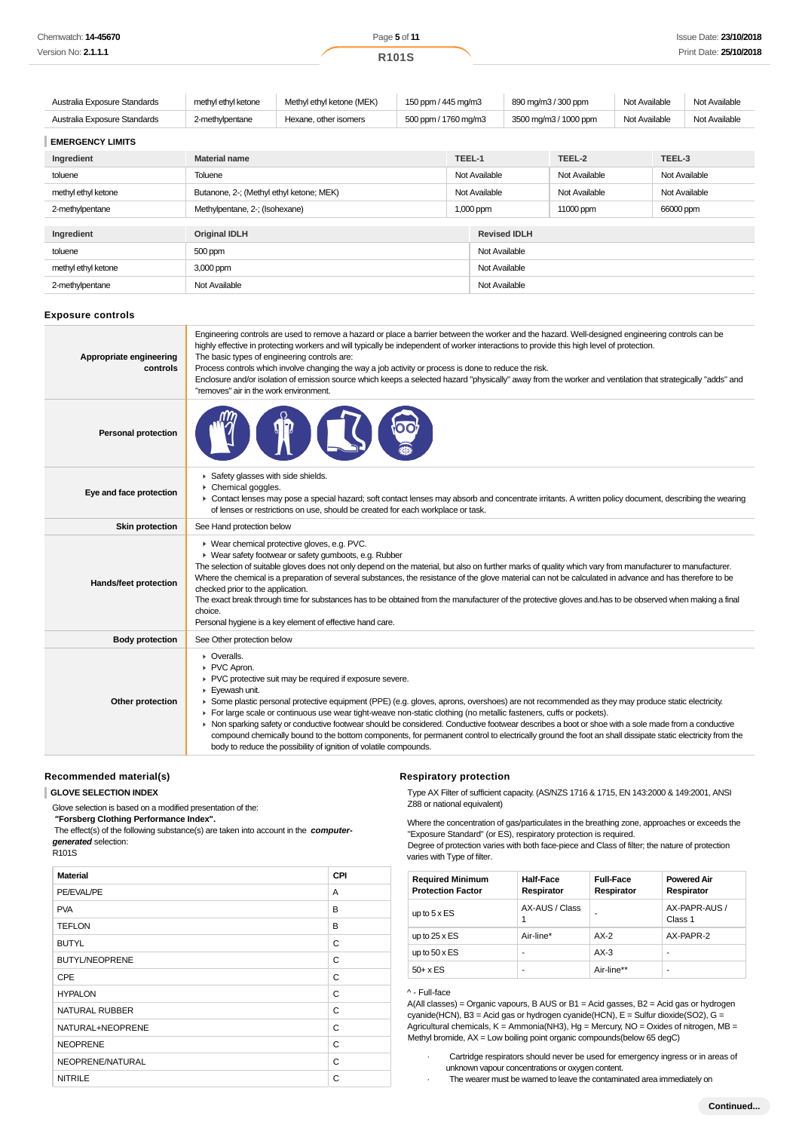| Chemwatch: <b>14-45670</b> | Page 5 of 11       | Issue Date: 23/10/2018 |
|----------------------------|--------------------|------------------------|
| Version No: 2.1.1.1        | R <sub>101</sub> S | Print Date: 25/10/2018 |

| Australia Exposure Standards | methyl ethyl ketone  | 150 ppm / 445 mg/m3<br>Methyl ethyl ketone (MEK) |  |                      | 890 mg/m3 / 300 ppm |                       |               | Not Available |               | Not Available |
|------------------------------|----------------------|--------------------------------------------------|--|----------------------|---------------------|-----------------------|---------------|---------------|---------------|---------------|
| Australia Exposure Standards | 2-methylpentane      | Hexane, other isomers                            |  | 500 ppm / 1760 mg/m3 |                     | 3500 mg/m3 / 1000 ppm |               | Not Available |               | Not Available |
| <b>EMERGENCY LIMITS</b>      |                      |                                                  |  |                      |                     |                       |               |               |               |               |
| Ingredient                   | <b>Material name</b> |                                                  |  |                      | TEEL-1              |                       | TEEL-2        |               | TEEL-3        |               |
| toluene                      | Toluene              |                                                  |  |                      | Not Available       |                       | Not Available |               | Not Available |               |
| methyl ethyl ketone          |                      | Butanone, 2-; (Methyl ethyl ketone; MEK)         |  | Not Available        |                     | Not Available         |               | Not Available |               |               |
| 2-methylpentane              |                      | Methylpentane, 2-; (Isohexane)                   |  | 1,000 ppm            |                     | 11000 ppm             |               | 66000 ppm     |               |               |
|                              |                      |                                                  |  |                      |                     |                       |               |               |               |               |
| Ingredient                   | <b>Original IDLH</b> |                                                  |  |                      | <b>Revised IDLH</b> |                       |               |               |               |               |
| toluene                      | 500 ppm              |                                                  |  | Not Available        |                     |                       |               |               |               |               |
| methyl ethyl ketone          | 3,000 ppm            |                                                  |  |                      | Not Available       |                       |               |               |               |               |
| 2-methylpentane              | Not Available        |                                                  |  |                      | Not Available       |                       |               |               |               |               |

#### **Exposure controls**

| Appropriate engineering<br>controls | Engineering controls are used to remove a hazard or place a barrier between the worker and the hazard. Well-designed engineering controls can be<br>highly effective in protecting workers and will typically be independent of worker interactions to provide this high level of protection.<br>The basic types of engineering controls are:<br>Process controls which involve changing the way a job activity or process is done to reduce the risk.<br>Enclosure and/or isolation of emission source which keeps a selected hazard "physically" away from the worker and ventilation that strategically "adds" and<br>"removes" air in the work environment.                                                                                                                     |
|-------------------------------------|-------------------------------------------------------------------------------------------------------------------------------------------------------------------------------------------------------------------------------------------------------------------------------------------------------------------------------------------------------------------------------------------------------------------------------------------------------------------------------------------------------------------------------------------------------------------------------------------------------------------------------------------------------------------------------------------------------------------------------------------------------------------------------------|
| <b>Personal protection</b>          |                                                                                                                                                                                                                                                                                                                                                                                                                                                                                                                                                                                                                                                                                                                                                                                     |
| Eye and face protection             | Safety glasses with side shields.<br>Chemical goggles.<br>► Contact lenses may pose a special hazard; soft contact lenses may absorb and concentrate irritants. A written policy document, describing the wearing<br>of lenses or restrictions on use, should be created for each workplace or task.                                                                                                                                                                                                                                                                                                                                                                                                                                                                                |
| <b>Skin protection</b>              | See Hand protection below                                                                                                                                                                                                                                                                                                                                                                                                                                                                                                                                                                                                                                                                                                                                                           |
| Hands/feet protection               | ▶ Wear chemical protective gloves, e.g. PVC.<br>▶ Wear safety footwear or safety gumboots, e.g. Rubber<br>The selection of suitable gloves does not only depend on the material, but also on further marks of quality which vary from manufacturer to manufacturer.<br>Where the chemical is a preparation of several substances, the resistance of the glove material can not be calculated in advance and has therefore to be<br>checked prior to the application.<br>The exact break through time for substances has to be obtained from the manufacturer of the protective gloves and has to be observed when making a final<br>choice.<br>Personal hygiene is a key element of effective hand care.                                                                            |
| <b>Body protection</b>              | See Other protection below                                                                                                                                                                                                                                                                                                                                                                                                                                                                                                                                                                                                                                                                                                                                                          |
| Other protection                    | $\triangleright$ Overalls.<br>PVC Apron.<br>PVC protective suit may be required if exposure severe.<br>Eyewash unit.<br>▶ Some plastic personal protective equipment (PPE) (e.g. gloves, aprons, overshoes) are not recommended as they may produce static electricity.<br>For large scale or continuous use wear tight-weave non-static clothing (no metallic fasteners, cuffs or pockets).<br>• Non sparking safety or conductive footwear should be considered. Conductive footwear describes a boot or shoe with a sole made from a conductive<br>compound chemically bound to the bottom components, for permanent control to electrically ground the foot an shall dissipate static electricity from the<br>body to reduce the possibility of ignition of volatile compounds. |
|                                     |                                                                                                                                                                                                                                                                                                                                                                                                                                                                                                                                                                                                                                                                                                                                                                                     |

#### **Recommended material(s)**

**GLOVE SELECTION INDEX**

Glove selection is based on a modified presentation of the:

 **"Forsberg Clothing Performance Index".**

 The effect(s) of the following substance(s) are taken into account in the **computergenerated** selection: R101S

| <b>Material</b>       | CPI |
|-----------------------|-----|
| PE/EVAL/PE            | A   |
| <b>PVA</b>            | B   |
| <b>TEFLON</b>         | B   |
| <b>BUTYL</b>          | C   |
| <b>BUTYL/NEOPRENE</b> | C   |
| CPE                   | C   |
| <b>HYPALON</b>        | C   |
| <b>NATURAL RUBBER</b> | C   |
| NATURAL+NEOPRENE      | C   |
| <b>NEOPRENE</b>       | C   |
| NEOPRENE/NATURAL      | C   |
| <b>NITRILE</b>        | C   |

#### **Respiratory protection**

Type AX Filter of sufficient capacity. (AS/NZS 1716 & 1715, EN 143:2000 & 149:2001, ANSI Z88 or national equivalent)

Where the concentration of gas/particulates in the breathing zone, approaches or exceeds the "Exposure Standard" (or ES), respiratory protection is required. Degree of protection varies with both face-piece and Class of filter; the nature of protection

| Degree of protection varies with both race-piece and Class of filter, the nature of protection |
|------------------------------------------------------------------------------------------------|
| varies with Type of filter.                                                                    |
|                                                                                                |

| <b>Required Minimum</b><br><b>Protection Factor</b> | <b>Half-Face</b><br>Respirator | <b>Full-Face</b><br>Respirator | <b>Powered Air</b><br>Respirator |
|-----------------------------------------------------|--------------------------------|--------------------------------|----------------------------------|
| up to $5 \times ES$                                 | AX-AUS / Class                 |                                | AX-PAPR-AUS /<br>Class 1         |
| up to $25 \times ES$                                | Air-line*                      | $AX-2$                         | AX-PAPR-2                        |
| up to $50 \times ES$                                | ۰                              | $AX-3$                         | ۰                                |
| $50+ x ES$                                          | ۰                              | Air-line**                     | ۰                                |

### ^ - Full-face

A(All classes) = Organic vapours, B AUS or B1 = Acid gasses, B2 = Acid gas or hydrogen cyanide(HCN), B3 = Acid gas or hydrogen cyanide(HCN),  $E = S$ ulfur dioxide(SO2), G = Agricultural chemicals, K = Ammonia(NH3), Hg = Mercury, NO = Oxides of nitrogen, MB = Methyl bromide,  $AX = Low$  boiling point organic compounds(below 65 degC)

- · Cartridge respirators should never be used for emergency ingress or in areas of unknown vapour concentrations or oxygen content.
- · The wearer must be warned to leave the contaminated area immediately on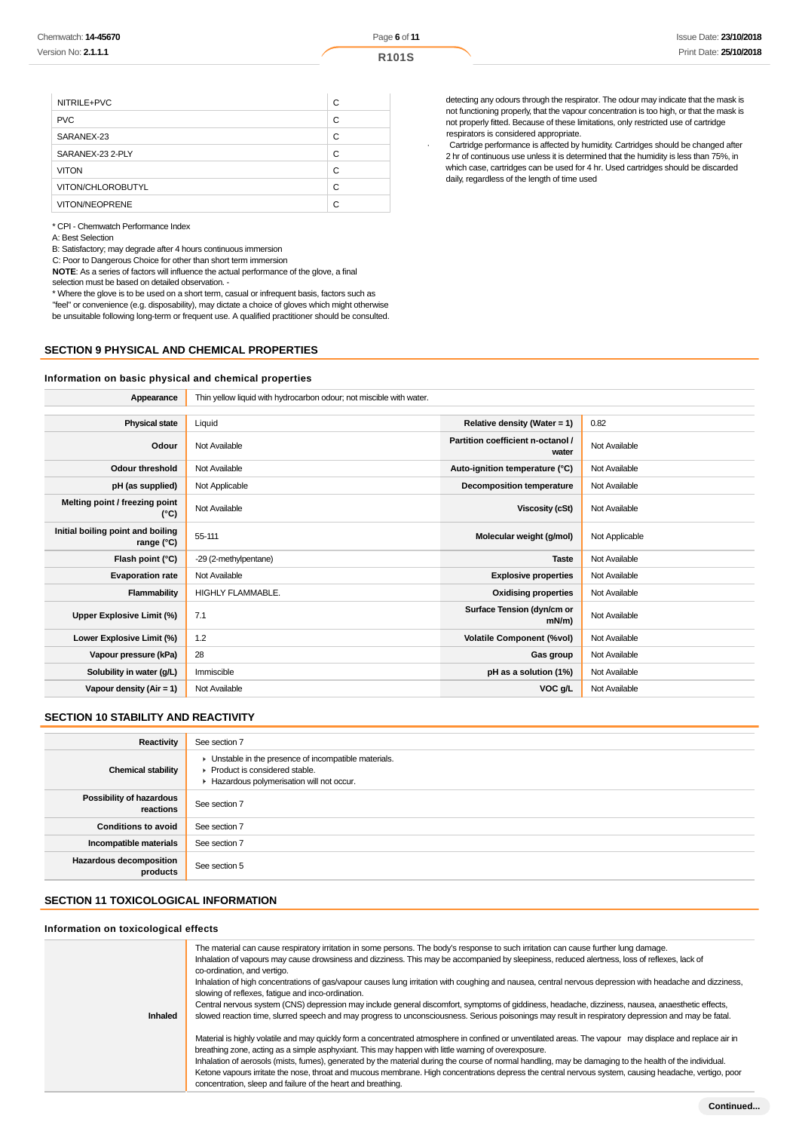| NITRILE+PVC           | С |
|-----------------------|---|
| <b>PVC</b>            | C |
| SARANEX-23            | C |
| SARANEX-23 2-PLY      | C |
| <b>VITON</b>          | C |
| VITON/CHLOROBUTYL     | C |
| <b>VITON/NEOPRENE</b> | C |

\* CPI - Chemwatch Performance Index

A: Best Selection

B: Satisfactory; may degrade after 4 hours continuous immersion

C: Poor to Dangerous Choice for other than short term immersion

**NOTE**: As a series of factors will influence the actual performance of the glove, a final selection must be based on detailed observation. -

\* Where the glove is to be used on a short term, casual or infrequent basis, factors such as "feel" or convenience (e.g. disposability), may dictate a choice of gloves which might otherwise

be unsuitable following long-term or frequent use. A qualified practitioner should be consulted.

# **SECTION 9 PHYSICAL AND CHEMICAL PROPERTIES**

#### **Information on basic physical and chemical properties**

detecting any odours through the respirator. The odour may indicate that the mask is not functioning properly, that the vapour concentration is too high, or that the mask is not properly fitted. Because of these limitations, only restricted use of cartridge respirators is considered appropriate.

· Cartridge performance is affected by humidity. Cartridges should be changed after 2 hr of continuous use unless it is determined that the humidity is less than 75%, in which case, cartridges can be used for 4 hr. Used cartridges should be discarded daily, regardless of the length of time used

| Appearance                                      | Thin yellow liquid with hydrocarbon odour; not miscible with water. |                                            |                |
|-------------------------------------------------|---------------------------------------------------------------------|--------------------------------------------|----------------|
|                                                 |                                                                     |                                            |                |
| <b>Physical state</b>                           | Liquid                                                              | Relative density (Water = $1$ )            | 0.82           |
| Odour                                           | Not Available                                                       | Partition coefficient n-octanol /<br>water | Not Available  |
| <b>Odour threshold</b>                          | Not Available                                                       | Auto-ignition temperature (°C)             | Not Available  |
| pH (as supplied)                                | Not Applicable                                                      | <b>Decomposition temperature</b>           | Not Available  |
| Melting point / freezing point<br>(°C)          | Not Available                                                       | Viscosity (cSt)                            | Not Available  |
| Initial boiling point and boiling<br>range (°C) | 55-111                                                              | Molecular weight (g/mol)                   | Not Applicable |
| Flash point (°C)                                | -29 (2-methylpentane)                                               | <b>Taste</b>                               | Not Available  |
| <b>Evaporation rate</b>                         | Not Available                                                       | <b>Explosive properties</b>                | Not Available  |
| Flammability                                    | <b>HIGHLY FLAMMABLE.</b>                                            | <b>Oxidising properties</b>                | Not Available  |
| Upper Explosive Limit (%)                       | 7.1                                                                 | Surface Tension (dyn/cm or<br>$mN/m$ )     | Not Available  |
| Lower Explosive Limit (%)                       | 1.2                                                                 | <b>Volatile Component (%vol)</b>           | Not Available  |
| Vapour pressure (kPa)                           | 28                                                                  | Gas group                                  | Not Available  |
| Solubility in water (g/L)                       | Immiscible                                                          | pH as a solution (1%)                      | Not Available  |
| Vapour density (Air = 1)                        | Not Available                                                       | VOC g/L                                    | Not Available  |

## **SECTION 10 STABILITY AND REACTIVITY**

| Reactivity                                 | See section 7                                                                                                                        |
|--------------------------------------------|--------------------------------------------------------------------------------------------------------------------------------------|
| <b>Chemical stability</b>                  | • Unstable in the presence of incompatible materials.<br>▶ Product is considered stable.<br>Hazardous polymerisation will not occur. |
| Possibility of hazardous<br>reactions      | See section 7                                                                                                                        |
| <b>Conditions to avoid</b>                 | See section 7                                                                                                                        |
| Incompatible materials                     | See section 7                                                                                                                        |
| <b>Hazardous decomposition</b><br>products | See section 5                                                                                                                        |

## **SECTION 11 TOXICOLOGICAL INFORMATION**

#### **Information on toxicological effects**

| <b>Inhaled</b> | The material can cause respiratory irritation in some persons. The body's response to such irritation can cause further lung damage.<br>Inhalation of vapours may cause drowsiness and dizziness. This may be accompanied by sleepiness, reduced alertness, loss of reflexes, lack of<br>co-ordination, and vertigo.<br>Inhalation of high concentrations of gas/vapour causes lung irritation with coughing and nausea, central nervous depression with headache and dizziness,<br>slowing of reflexes, fatigue and inco-ordination.<br>Central nervous system (CNS) depression may include general discomfort, symptoms of giddiness, headache, dizziness, nausea, anaesthetic effects,<br>slowed reaction time, slurred speech and may progress to unconsciousness. Serious poisonings may result in respiratory depression and may be fatal. |
|----------------|--------------------------------------------------------------------------------------------------------------------------------------------------------------------------------------------------------------------------------------------------------------------------------------------------------------------------------------------------------------------------------------------------------------------------------------------------------------------------------------------------------------------------------------------------------------------------------------------------------------------------------------------------------------------------------------------------------------------------------------------------------------------------------------------------------------------------------------------------|
|                | Material is highly volatile and may quickly form a concentrated atmosphere in confined or unventilated areas. The vapour may displace and replace air in<br>breathing zone, acting as a simple asphyxiant. This may happen with little warning of overexposure.<br>Inhalation of aerosols (mists, fumes), generated by the material during the course of normal handling, may be damaging to the health of the individual.<br>Ketone vapours irritate the nose, throat and mucous membrane. High concentrations depress the central nervous system, causing headache, vertigo, poor<br>concentration, sleep and failure of the heart and breathing.                                                                                                                                                                                              |
|                |                                                                                                                                                                                                                                                                                                                                                                                                                                                                                                                                                                                                                                                                                                                                                                                                                                                  |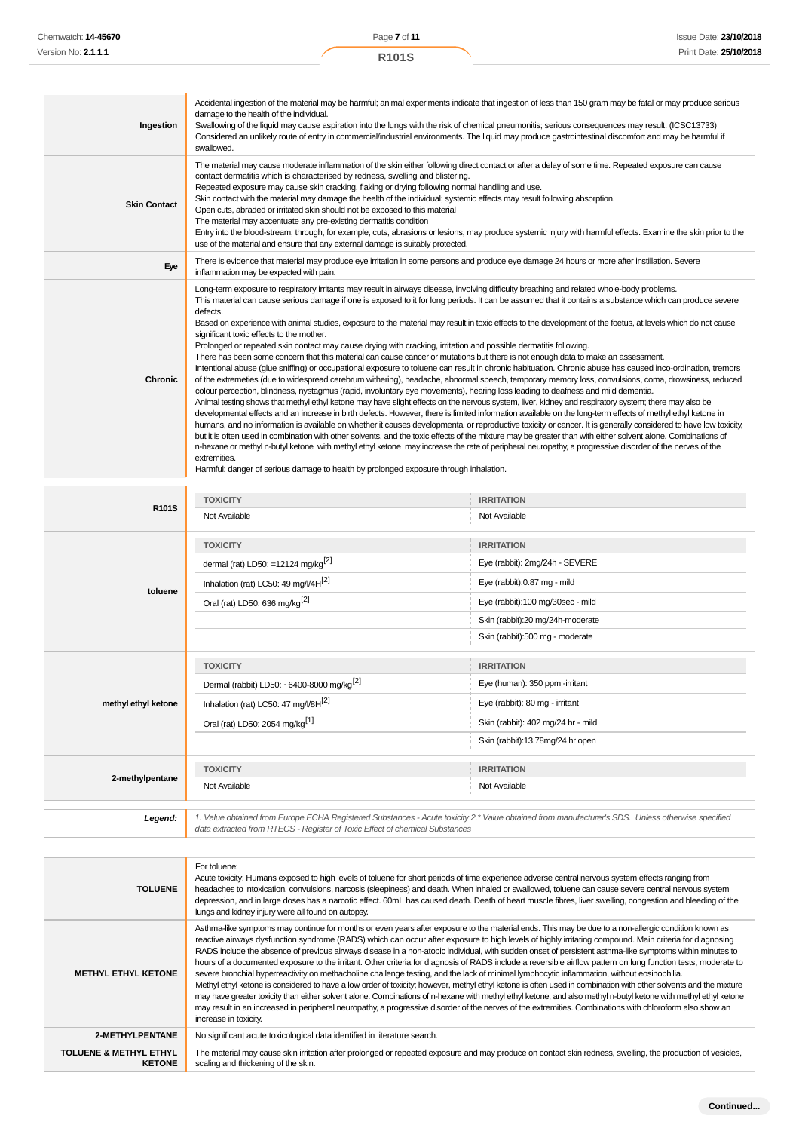| Ingestion           | Accidental ingestion of the material may be harmful; animal experiments indicate that ingestion of less than 150 gram may be fatal or may produce serious<br>damage to the health of the individual.<br>Swallowing of the liquid may cause aspiration into the lungs with the risk of chemical pneumonitis; serious consequences may result. (ICSC13733)<br>Considered an unlikely route of entry in commercial/industrial environments. The liquid may produce gastrointestinal discomfort and may be harmful if<br>swallowed.                                                                                                                                                                                                                                                                                                                                                                                                                                                                                                                                                                                                                                                                                                                                                                                                                                                                                                                                                                                                                                                                                                                                                                                                                                                                                                                                                                                                                                                                                                                                                                                                                                            |
|---------------------|----------------------------------------------------------------------------------------------------------------------------------------------------------------------------------------------------------------------------------------------------------------------------------------------------------------------------------------------------------------------------------------------------------------------------------------------------------------------------------------------------------------------------------------------------------------------------------------------------------------------------------------------------------------------------------------------------------------------------------------------------------------------------------------------------------------------------------------------------------------------------------------------------------------------------------------------------------------------------------------------------------------------------------------------------------------------------------------------------------------------------------------------------------------------------------------------------------------------------------------------------------------------------------------------------------------------------------------------------------------------------------------------------------------------------------------------------------------------------------------------------------------------------------------------------------------------------------------------------------------------------------------------------------------------------------------------------------------------------------------------------------------------------------------------------------------------------------------------------------------------------------------------------------------------------------------------------------------------------------------------------------------------------------------------------------------------------------------------------------------------------------------------------------------------------|
| <b>Skin Contact</b> | The material may cause moderate inflammation of the skin either following direct contact or after a delay of some time. Repeated exposure can cause<br>contact dermatitis which is characterised by redness, swelling and blistering.<br>Repeated exposure may cause skin cracking, flaking or drying following normal handling and use.<br>Skin contact with the material may damage the health of the individual; systemic effects may result following absorption.<br>Open cuts, abraded or irritated skin should not be exposed to this material<br>The material may accentuate any pre-existing dermatitis condition<br>Entry into the blood-stream, through, for example, cuts, abrasions or lesions, may produce systemic injury with harmful effects. Examine the skin prior to the<br>use of the material and ensure that any external damage is suitably protected.                                                                                                                                                                                                                                                                                                                                                                                                                                                                                                                                                                                                                                                                                                                                                                                                                                                                                                                                                                                                                                                                                                                                                                                                                                                                                              |
| Eye                 | There is evidence that material may produce eye irritation in some persons and produce eye damage 24 hours or more after instillation. Severe<br>inflammation may be expected with pain.                                                                                                                                                                                                                                                                                                                                                                                                                                                                                                                                                                                                                                                                                                                                                                                                                                                                                                                                                                                                                                                                                                                                                                                                                                                                                                                                                                                                                                                                                                                                                                                                                                                                                                                                                                                                                                                                                                                                                                                   |
| <b>Chronic</b>      | Long-term exposure to respiratory irritants may result in airways disease, involving difficulty breathing and related whole-body problems.<br>This material can cause serious damage if one is exposed to it for long periods. It can be assumed that it contains a substance which can produce severe<br>defects.<br>Based on experience with animal studies, exposure to the material may result in toxic effects to the development of the foetus, at levels which do not cause<br>significant toxic effects to the mother.<br>Prolonged or repeated skin contact may cause drying with cracking, irritation and possible dermatitis following.<br>There has been some concern that this material can cause cancer or mutations but there is not enough data to make an assessment.<br>Intentional abuse (glue sniffing) or occupational exposure to toluene can result in chronic habituation. Chronic abuse has caused inco-ordination, tremors<br>of the extremeties (due to widespread cerebrum withering), headache, abnormal speech, temporary memory loss, convulsions, coma, drowsiness, reduced<br>colour perception, blindness, nystagmus (rapid, involuntary eye movements), hearing loss leading to deafness and mild dementia.<br>Animal testing shows that methyl ethyl ketone may have slight effects on the nervous system, liver, kidney and respiratory system; there may also be<br>developmental effects and an increase in birth defects. However, there is limited information available on the long-term effects of methyl ethyl ketone in<br>humans, and no information is available on whether it causes developmental or reproductive toxicity or cancer. It is generally considered to have low toxicity,<br>but it is often used in combination with other solvents, and the toxic effects of the mixture may be greater than with either solvent alone. Combinations of<br>n-hexane or methyl n-butyl ketone with methyl ethyl ketone may increase the rate of peripheral neuropathy, a progressive disorder of the nerves of the<br>extremities.<br>Harmful: danger of serious damage to health by prolonged exposure through inhalation. |

| R101S               | <b>TOXICITY</b>                                                                                                                                                                                                                 | <b>IRRITATION</b>                  |
|---------------------|---------------------------------------------------------------------------------------------------------------------------------------------------------------------------------------------------------------------------------|------------------------------------|
|                     | Not Available                                                                                                                                                                                                                   | Not Available                      |
|                     | <b>TOXICITY</b>                                                                                                                                                                                                                 | <b>IRRITATION</b>                  |
|                     | dermal (rat) LD50: =12124 mg/kg <sup>[2]</sup>                                                                                                                                                                                  | Eye (rabbit): 2mg/24h - SEVERE     |
| toluene             | Inhalation (rat) LC50: 49 mg/l/4H <sup>[2]</sup>                                                                                                                                                                                | Eye (rabbit):0.87 mg - mild        |
|                     | Oral (rat) LD50: 636 mg/kg <sup>[2]</sup>                                                                                                                                                                                       | Eye (rabbit):100 mg/30sec - mild   |
|                     |                                                                                                                                                                                                                                 | Skin (rabbit):20 mg/24h-moderate   |
|                     |                                                                                                                                                                                                                                 | Skin (rabbit):500 mg - moderate    |
|                     | <b>TOXICITY</b>                                                                                                                                                                                                                 | <b>IRRITATION</b>                  |
| methyl ethyl ketone | Dermal (rabbit) LD50: ~6400-8000 mg/kg <sup>[2]</sup>                                                                                                                                                                           | Eye (human): 350 ppm -irritant     |
|                     | Inhalation (rat) LC50: 47 mg/l/8H <sup>[2]</sup>                                                                                                                                                                                | Eye (rabbit): 80 mg - irritant     |
|                     | Oral (rat) LD50: 2054 mg/kg <sup>[1]</sup>                                                                                                                                                                                      | Skin (rabbit): 402 mg/24 hr - mild |
|                     |                                                                                                                                                                                                                                 | Skin (rabbit):13.78mg/24 hr open   |
|                     | <b>TOXICITY</b>                                                                                                                                                                                                                 | <b>IRRITATION</b>                  |
| 2-methylpentane     | Not Available                                                                                                                                                                                                                   | Not Available                      |
|                     |                                                                                                                                                                                                                                 |                                    |
| Legend:             | 1. Value obtained from Europe ECHA Registered Substances - Acute toxicity 2.* Value obtained from manufacturer's SDS. Unless otherwise specified<br>data extracted from RTECS - Register of Toxic Effect of chemical Substances |                                    |

| <b>TOLUENE</b>                                     | For toluene:<br>Acute toxicity: Humans exposed to high levels of toluene for short periods of time experience adverse central nervous system effects ranging from<br>headaches to intoxication, convulsions, narcosis (sleepiness) and death. When inhaled or swallowed, toluene can cause severe central nervous system<br>depression, and in large doses has a narcotic effect. 60mL has caused death. Death of heart muscle fibres, liver swelling, congestion and bleeding of the<br>lungs and kidney injury were all found on autopsy.                                                                                                                                                                                                                                                                                                                                                                                                                                                                                                                                                                                                                                                                                                                                                                          |
|----------------------------------------------------|----------------------------------------------------------------------------------------------------------------------------------------------------------------------------------------------------------------------------------------------------------------------------------------------------------------------------------------------------------------------------------------------------------------------------------------------------------------------------------------------------------------------------------------------------------------------------------------------------------------------------------------------------------------------------------------------------------------------------------------------------------------------------------------------------------------------------------------------------------------------------------------------------------------------------------------------------------------------------------------------------------------------------------------------------------------------------------------------------------------------------------------------------------------------------------------------------------------------------------------------------------------------------------------------------------------------|
| <b>METHYL ETHYL KETONE</b>                         | Asthma-like symptoms may continue for months or even years after exposure to the material ends. This may be due to a non-allergic condition known as<br>reactive airways dysfunction syndrome (RADS) which can occur after exposure to high levels of highly irritating compound. Main criteria for diagnosing<br>RADS include the absence of previous airways disease in a non-atopic individual, with sudden onset of persistent asthma-like symptoms within minutes to<br>hours of a documented exposure to the irritant. Other criteria for diagnosis of RADS include a reversible airflow pattern on lung function tests, moderate to<br>severe bronchial hyperreactivity on methacholine challenge testing, and the lack of minimal lymphocytic inflammation, without eosinophilia.<br>Methyl ethyl ketone is considered to have a low order of toxicity; however, methyl ethyl ketone is often used in combination with other solvents and the mixture<br>may have greater toxicity than either solvent alone. Combinations of n-hexane with methyl ethyl ketone, and also methyl n-butyl ketone with methyl ethyl ketone<br>may result in an increased in peripheral neuropathy, a progressive disorder of the nerves of the extremities. Combinations with chloroform also show an<br>increase in toxicity. |
| 2-METHYLPENTANE                                    | No significant acute toxicological data identified in literature search.                                                                                                                                                                                                                                                                                                                                                                                                                                                                                                                                                                                                                                                                                                                                                                                                                                                                                                                                                                                                                                                                                                                                                                                                                                             |
| <b>TOLUENE &amp; METHYL ETHYL</b><br><b>KETONE</b> | The material may cause skin irritation after prolonged or repeated exposure and may produce on contact skin redness, swelling, the production of vesicles,<br>scaling and thickening of the skin.                                                                                                                                                                                                                                                                                                                                                                                                                                                                                                                                                                                                                                                                                                                                                                                                                                                                                                                                                                                                                                                                                                                    |
|                                                    |                                                                                                                                                                                                                                                                                                                                                                                                                                                                                                                                                                                                                                                                                                                                                                                                                                                                                                                                                                                                                                                                                                                                                                                                                                                                                                                      |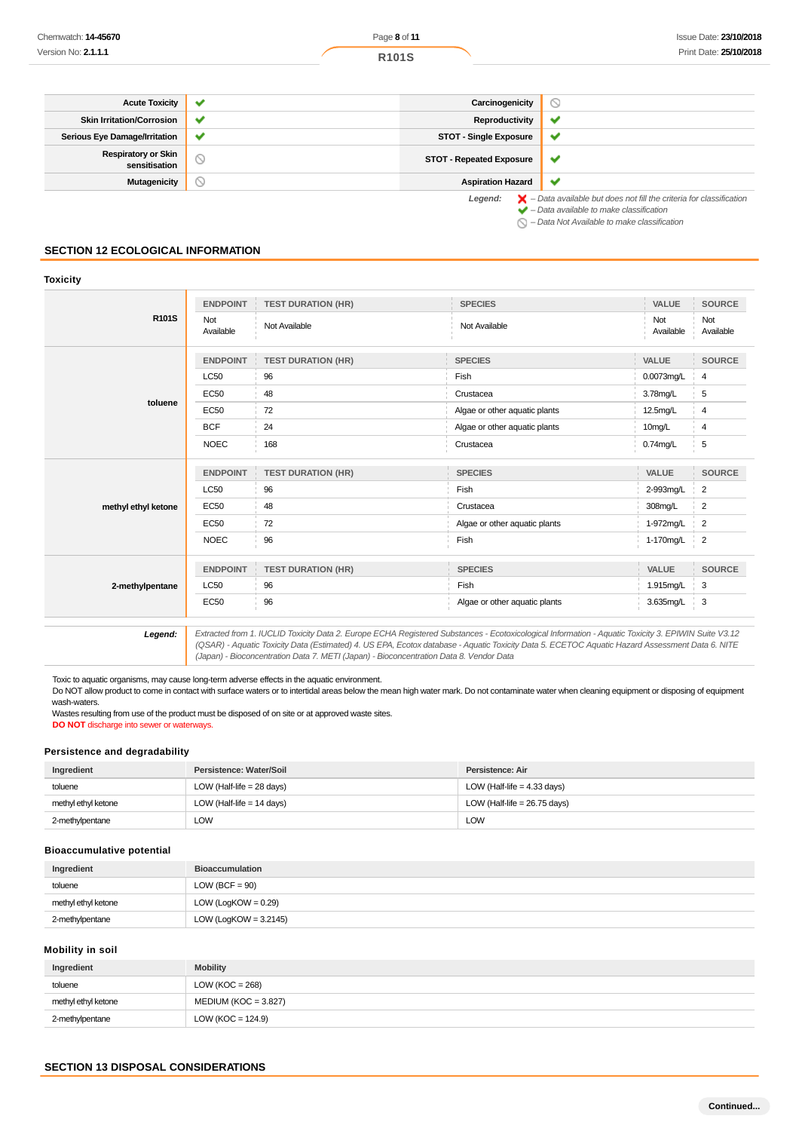| <b>Acute Toxicity</b>                       | $\checkmark$ | Carcinogenicity                 | Э                                                                                                                                                         |
|---------------------------------------------|--------------|---------------------------------|-----------------------------------------------------------------------------------------------------------------------------------------------------------|
| <b>Skin Irritation/Corrosion</b>            | $\checkmark$ | Reproductivity                  | ັ                                                                                                                                                         |
| Serious Eye Damage/Irritation               | $\checkmark$ | <b>STOT - Single Exposure</b>   | v                                                                                                                                                         |
| <b>Respiratory or Skin</b><br>sensitisation |              | <b>STOT - Repeated Exposure</b> | v                                                                                                                                                         |
| Mutagenicity                                | ◡            | <b>Aspiration Hazard</b>        | $\checkmark$                                                                                                                                              |
|                                             |              | Legend:                         | $\blacktriangleright$ - Data available but does not fill the criteria for classification<br>$\blacktriangleright$ - Data available to make classification |

 $\bigcirc$  – Data Not Available to make classification

# **SECTION 12 ECOLOGICAL INFORMATION**

| <b>Toxicity</b>     |                  |                           |                               |                  |                     |
|---------------------|------------------|---------------------------|-------------------------------|------------------|---------------------|
|                     | <b>ENDPOINT</b>  | <b>TEST DURATION (HR)</b> | <b>SPECIES</b>                | VALUE            | <b>SOURCE</b>       |
| R101S               | Not<br>Available | Not Available             | Not Available                 | Not<br>Available | Not<br>Available    |
|                     | <b>ENDPOINT</b>  | <b>TEST DURATION (HR)</b> | <b>SPECIES</b>                | <b>VALUE</b>     | <b>SOURCE</b>       |
|                     | <b>LC50</b>      | 96                        | Fish                          | 0.0073mg/L       | 4                   |
|                     | <b>EC50</b>      | 48                        | Crustacea                     | 3.78mg/L         | 5                   |
| toluene             | <b>EC50</b>      | 72                        | Algae or other aquatic plants | 12.5mg/L         | 4                   |
|                     | <b>BCF</b>       | 24                        | Algae or other aquatic plants | 10mg/L           | 4                   |
|                     | <b>NOEC</b>      | 168                       | Crustacea                     | $0.74$ mg/L      | 5                   |
|                     | <b>ENDPOINT</b>  | <b>TEST DURATION (HR)</b> | <b>SPECIES</b>                | <b>VALUE</b>     | <b>SOURCE</b>       |
|                     | <b>LC50</b>      | 96                        | Fish                          | 2-993mg/L        | $\overline{2}$      |
| methyl ethyl ketone | <b>EC50</b>      | 48                        | Crustacea                     | 308mg/L          | $\overline{2}$      |
|                     | <b>EC50</b>      | 72                        | Algae or other aquatic plants | 1-972mg/L        | $\overline{2}$      |
|                     | <b>NOEC</b>      | 96                        | Fish                          | 1-170mg/L        | $\frac{1}{2}$       |
|                     | <b>ENDPOINT</b>  | <b>TEST DURATION (HR)</b> | <b>SPECIES</b>                | VALUE            | <b>SOURCE</b>       |
| 2-methylpentane     | <b>LC50</b>      | 96                        | Fish                          | 1.915mg/L        | 3                   |
|                     | <b>EC50</b>      | 96                        | Algae or other aquatic plants | 3.635mg/L        | 3<br>$\mathbb{R}^n$ |

12.0 Extracted from 1. IUCLID Toxicity Data 2. Europe ECHA Registered Substances - Ecotoxicological Information - Aquatic Toxicity 3. EPIWIN Suite V3.12<br>QSAR) - Aquatic Toxicity Data (Estimated) 4. US EPA, Ecotox database (Japan) - Bioconcentration Data 7. METI (Japan) - Bioconcentration Data 8. Vendor Data

Toxic to aquatic organisms, may cause long-term adverse effects in the aquatic environment.

Do NOT allow product to come in contact with surface waters or to intertidal areas below the mean high water mark. Do not contaminate water when cleaning equipment or disposing of equipment wash-waters.

Wastes resulting from use of the product must be disposed of on site or at approved waste sites. **DO NOT** discharge into sewer or waterways.

## **Persistence and degradability**

| Ingredient          | Persistence: Water/Soil     | Persistence: Air               |
|---------------------|-----------------------------|--------------------------------|
| toluene             | LOW (Half-life $= 28$ days) | LOW (Half-life $=$ 4.33 days)  |
| methyl ethyl ketone | LOW (Half-life $= 14$ days) | LOW (Half-life = $26.75$ days) |
| 2-methylpentane     | LOW                         | <b>LOW</b>                     |

#### **Bioaccumulative potential**

| Ingredient          | <b>Bioaccumulation</b>   |
|---------------------|--------------------------|
| toluene             | LOW (BCF = $90$ )        |
| methyl ethyl ketone | LOW (LogKOW = $0.29$ )   |
| 2-methylpentane     | LOW (LogKOW = $3.2145$ ) |

# **Mobility in soil**

| Ingredient          | <b>Mobility</b>        |
|---------------------|------------------------|
| toluene             | LOW ( $KOC = 268$ )    |
| methyl ethyl ketone | $MEDIUM (KOC = 3.827)$ |
| 2-methylpentane     | LOW (KOC = $124.9$ )   |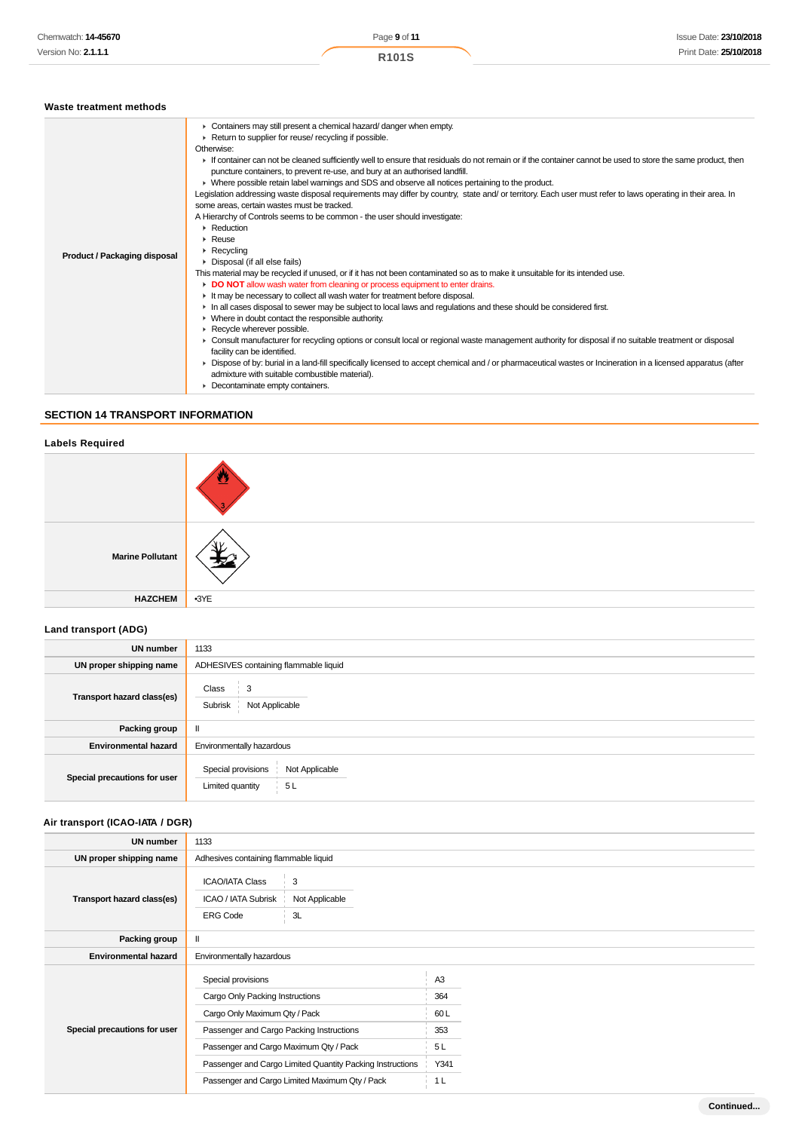| Waste treatment methods |  |
|-------------------------|--|
|                         |  |

|                                     | • Containers may still present a chemical hazard/ danger when empty.                                                                                                                                                                                                                                                                            |
|-------------------------------------|-------------------------------------------------------------------------------------------------------------------------------------------------------------------------------------------------------------------------------------------------------------------------------------------------------------------------------------------------|
|                                     | ▶ Return to supplier for reuse/ recycling if possible.                                                                                                                                                                                                                                                                                          |
|                                     | Otherwise:                                                                                                                                                                                                                                                                                                                                      |
|                                     | If container can not be cleaned sufficiently well to ensure that residuals do not remain or if the container cannot be used to store the same product, then<br>puncture containers, to prevent re-use, and bury at an authorised landfill.<br>▶ Where possible retain label warnings and SDS and observe all notices pertaining to the product. |
|                                     | Legislation addressing waste disposal requirements may differ by country, state and/ or territory. Each user must refer to laws operating in their area. In<br>some areas, certain wastes must be tracked.                                                                                                                                      |
|                                     | A Hierarchy of Controls seems to be common - the user should investigate:                                                                                                                                                                                                                                                                       |
|                                     | $\triangleright$ Reduction                                                                                                                                                                                                                                                                                                                      |
|                                     | $\triangleright$ Reuse                                                                                                                                                                                                                                                                                                                          |
|                                     | $\triangleright$ Recycling                                                                                                                                                                                                                                                                                                                      |
| <b>Product / Packaging disposal</b> | • Disposal (if all else fails)                                                                                                                                                                                                                                                                                                                  |
|                                     | This material may be recycled if unused, or if it has not been contaminated so as to make it unsuitable for its intended use.                                                                                                                                                                                                                   |
|                                     | DO NOT allow wash water from cleaning or process equipment to enter drains.                                                                                                                                                                                                                                                                     |
|                                     | If It may be necessary to collect all wash water for treatment before disposal.                                                                                                                                                                                                                                                                 |
|                                     | In all cases disposal to sewer may be subject to local laws and regulations and these should be considered first.                                                                                                                                                                                                                               |
|                                     | $\triangleright$ Where in doubt contact the responsible authority.                                                                                                                                                                                                                                                                              |
|                                     | Recycle wherever possible.                                                                                                                                                                                                                                                                                                                      |
|                                     | ► Consult manufacturer for recycling options or consult local or regional waste management authority for disposal if no suitable treatment or disposal<br>facility can be identified.                                                                                                                                                           |
|                                     | • Dispose of by: burial in a land-fill specifically licensed to accept chemical and / or pharmaceutical wastes or Incineration in a licensed apparatus (after<br>admixture with suitable combustible material).                                                                                                                                 |
|                                     | • Decontaminate empty containers.                                                                                                                                                                                                                                                                                                               |

# **SECTION 14 TRANSPORT INFORMATION**

# **Labels Required**

| <b>Marine Pollutant</b> |        |
|-------------------------|--------|
| <b>HAZCHEM</b>          | $-3YE$ |

# **Land transport (ADG)**

| <b>UN number</b>             | 1133                                                           |  |  |  |
|------------------------------|----------------------------------------------------------------|--|--|--|
| UN proper shipping name      | ADHESIVES containing flammable liquid                          |  |  |  |
| Transport hazard class(es)   | Class<br>$\frac{1}{2}$ 3<br>Not Applicable<br>Subrisk          |  |  |  |
| <b>Packing group</b>         | $\mathbf{I}$                                                   |  |  |  |
| <b>Environmental hazard</b>  | Environmentally hazardous                                      |  |  |  |
| Special precautions for user | Not Applicable<br>Special provisions<br>Limited quantity<br>5L |  |  |  |

# **Air transport (ICAO-IATA / DGR)**

| UN number                    | 1133                                                                                          |  |                |  |
|------------------------------|-----------------------------------------------------------------------------------------------|--|----------------|--|
| UN proper shipping name      | Adhesives containing flammable liquid                                                         |  |                |  |
| Transport hazard class(es)   | <b>ICAO/IATA Class</b><br>3<br>ICAO / IATA Subrisk<br>Not Applicable<br>3L<br><b>ERG Code</b> |  |                |  |
| Packing group                | Ш                                                                                             |  |                |  |
| <b>Environmental hazard</b>  | Environmentally hazardous                                                                     |  |                |  |
|                              | Special provisions                                                                            |  | A <sub>3</sub> |  |
|                              | Cargo Only Packing Instructions                                                               |  | 364            |  |
|                              | Cargo Only Maximum Qty / Pack                                                                 |  | 60L            |  |
| Special precautions for user | Passenger and Cargo Packing Instructions                                                      |  | 353            |  |
|                              | Passenger and Cargo Maximum Qty / Pack                                                        |  | 5L             |  |
|                              | Passenger and Cargo Limited Quantity Packing Instructions                                     |  | Y341           |  |
|                              | Passenger and Cargo Limited Maximum Qty / Pack                                                |  | 1 <sub>L</sub> |  |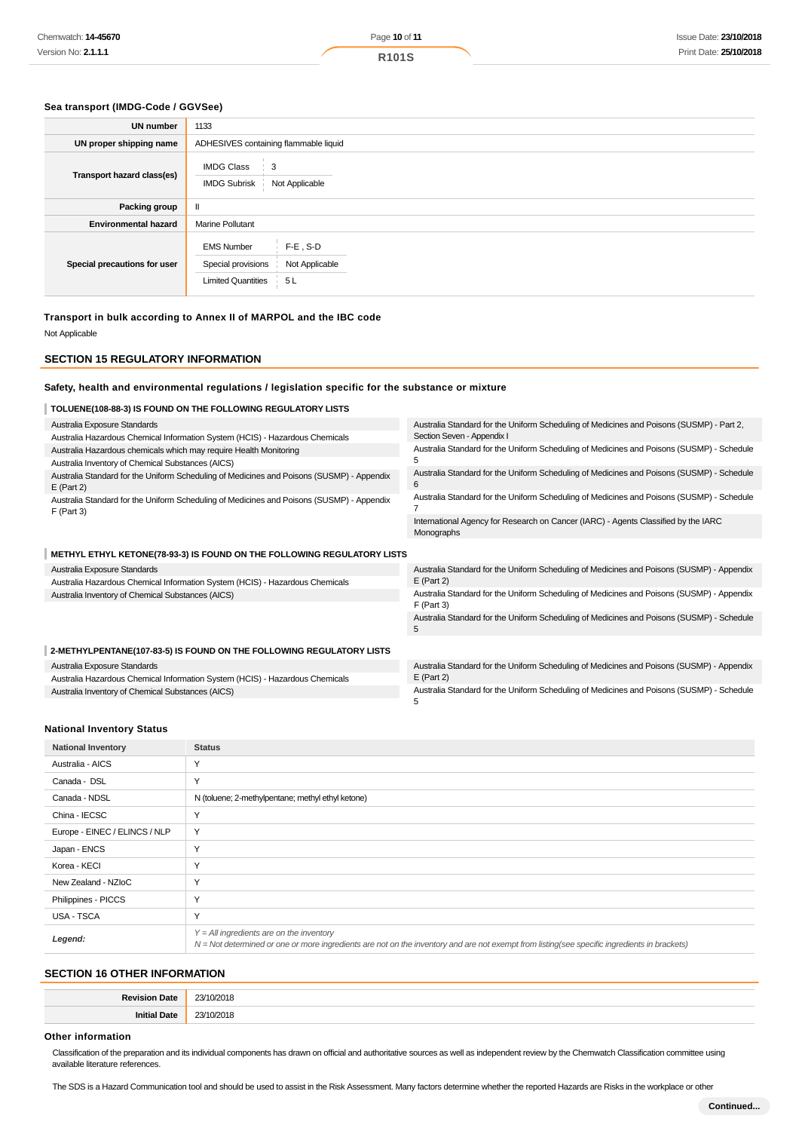#### **Sea transport (IMDG-Code / GGVSee)**

| <b>UN number</b>             | 1133                                                                                                         |  |  |  |
|------------------------------|--------------------------------------------------------------------------------------------------------------|--|--|--|
| UN proper shipping name      | ADHESIVES containing flammable liquid                                                                        |  |  |  |
| Transport hazard class(es)   | <b>IMDG Class</b><br>3<br>Not Applicable<br><b>IMDG Subrisk</b>                                              |  |  |  |
| Packing group                | $\mathbf{I}$                                                                                                 |  |  |  |
| <b>Environmental hazard</b>  | <b>Marine Pollutant</b>                                                                                      |  |  |  |
| Special precautions for user | $F-E$ , S-D<br><b>EMS Number</b><br>Special provisions<br>Not Applicable<br><b>Limited Quantities</b><br>5 L |  |  |  |

**Transport in bulk according to Annex II of MARPOL and the IBC code**

Not Applicable

#### **SECTION 15 REGULATORY INFORMATION**

#### **Safety, health and environmental regulations / legislation specific for the substance or mixture**

# **TOLUENE(108-88-3) IS FOUND ON THE FOLLOWING REGULATORY LISTS**

| Australia Exposure Standards                                                                              | Australia Standard for the Uniform Scheduling of Medicines and Poisons (SUSMP) - Part 2,                  |  |  |
|-----------------------------------------------------------------------------------------------------------|-----------------------------------------------------------------------------------------------------------|--|--|
| Australia Hazardous Chemical Information System (HCIS) - Hazardous Chemicals                              | Section Seven - Appendix I                                                                                |  |  |
| Australia Hazardous chemicals which may require Health Monitoring                                         | Australia Standard for the Uniform Scheduling of Medicines and Poisons (SUSMP) - Schedule                 |  |  |
| Australia Inventory of Chemical Substances (AICS)                                                         |                                                                                                           |  |  |
| Australia Standard for the Uniform Scheduling of Medicines and Poisons (SUSMP) - Appendix<br>$E$ (Part 2) | Australia Standard for the Uniform Scheduling of Medicines and Poisons (SUSMP) - Schedule                 |  |  |
| Australia Standard for the Uniform Scheduling of Medicines and Poisons (SUSMP) - Appendix<br>$F$ (Part 3) | Australia Standard for the Uniform Scheduling of Medicines and Poisons (SUSMP) - Schedule                 |  |  |
|                                                                                                           | International Agency for Research on Cancer (IARC) - Agents Classified by the IARC<br>Monographs          |  |  |
| METHYL ETHYL KETONE(78-93-3) IS FOUND ON THE FOLLOWING REGULATORY LISTS                                   |                                                                                                           |  |  |
| Australia Exposure Standards                                                                              | Australia Standard for the Uniform Scheduling of Medicines and Poisons (SUSMP) - Appendix                 |  |  |
| Australia Hazardous Chemical Information System (HCIS) - Hazardous Chemicals                              | $E$ (Part 2)                                                                                              |  |  |
| Australia Inventory of Chemical Substances (AICS)                                                         | Australia Standard for the Uniform Scheduling of Medicines and Poisons (SUSMP) - Appendix<br>$F$ (Part 3) |  |  |
|                                                                                                           | Australia Standard for the Uniform Scheduling of Medicines and Poisons (SUSMP) - Schedule<br>5            |  |  |
| 2-METHYLPENTANE(107-83-5) IS FOUND ON THE FOLLOWING REGULATORY LISTS                                      |                                                                                                           |  |  |
| Australia Exposure Standards                                                                              | Australia Standard for the Uniform Scheduling of Medicines and Poisons (SUSMP) - Appendix                 |  |  |
| Australia Hazardous Chemical Information System (HCIS) - Hazardous Chemicals                              | $E$ (Part 2)                                                                                              |  |  |
| Australia Inventory of Chemical Substances (AICS)                                                         | Australia Standard for the Uniform Scheduling of Medicines and Poisons (SUSMP) - Schedule<br>5            |  |  |

#### **National Inventory Status**

| <b>National Inventory</b>     | <b>Status</b>                                                                                                                                                                              |
|-------------------------------|--------------------------------------------------------------------------------------------------------------------------------------------------------------------------------------------|
| Australia - AICS              | Y                                                                                                                                                                                          |
| Canada - DSL                  | Y                                                                                                                                                                                          |
| Canada - NDSL                 | N (toluene; 2-methylpentane; methyl ethyl ketone)                                                                                                                                          |
| China - IECSC                 | $\checkmark$                                                                                                                                                                               |
| Europe - EINEC / ELINCS / NLP | Y                                                                                                                                                                                          |
| Japan - ENCS                  | $\checkmark$                                                                                                                                                                               |
| Korea - KECI                  | Υ                                                                                                                                                                                          |
| New Zealand - NZIoC           | Y                                                                                                                                                                                          |
| Philippines - PICCS           | Y                                                                                                                                                                                          |
| USA - TSCA                    | Y                                                                                                                                                                                          |
| Legend:                       | $Y = All$ ingredients are on the inventory<br>N = Not determined or one or more ingredients are not on the inventory and are not exempt from listing(see specific ingredients in brackets) |

# **SECTION 16 OTHER INFORMATION**

| в.<br><b>1016</b> | $\sim$ |
|-------------------|--------|
| - 112             | ~~     |

# **Other information**

Classification of the preparation and its individual components has drawn on official and authoritative sources as well as independent review by the Chemwatch Classification committee using available literature references.

The SDS is a Hazard Communication tool and should be used to assist in the Risk Assessment. Many factors determine whether the reported Hazards are Risks in the workplace or other